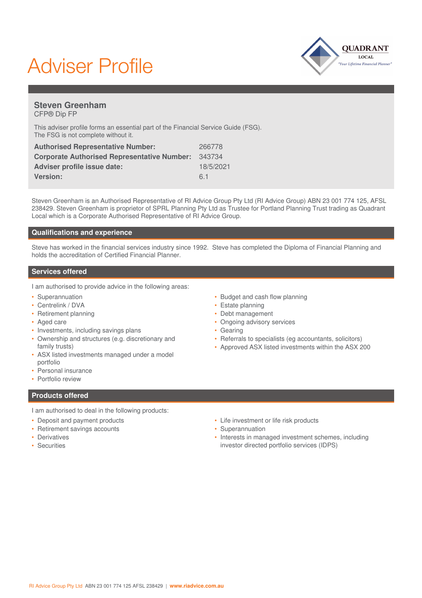# Adviser Profile



## **Steven Greenham** CFP® Dip FP

This adviser profile forms an essential part of the Financial Service Guide (FSG). The FSG is not complete without it.

| <b>Authorised Representative Number:</b>           | 266778    |
|----------------------------------------------------|-----------|
| <b>Corporate Authorised Representative Number:</b> | 343734    |
| <b>Adviser profile issue date:</b>                 | 18/5/2021 |
| <b>Version:</b>                                    | 61        |

Steven Greenham is an Authorised Representative of RI Advice Group Pty Ltd (RI Advice Group) ABN 23 001 774 125, AFSL 238429. Steven Greenham is proprietor of SPRL Planning Pty Ltd as Trustee for Portland Planning Trust trading as Quadrant Local which is a Corporate Authorised Representative of RI Advice Group.

# **Qualifications and experience**

Steve has worked in the financial services industry since 1992. Steve has completed the Diploma of Financial Planning and holds the accreditation of Certified Financial Planner.

### **Services offered**

I am authorised to provide advice in the following areas:

- Superannuation
- Centrelink / DVA
- Retirement planning
- Aged care
- Investments, including savings plans
- Ownership and structures (e.g. discretionary and family trusts)
- ASX listed investments managed under a model portfolio
- Personal insurance
- Portfolio review
- **Products offered**
- I am authorised to deal in the following products:
- Deposit and payment products
- Retirement savings accounts
- Derivatives
- Securities
- Budget and cash flow planning
- Estate planning
- Debt management
- Ongoing advisory services
- Gearing
- Referrals to specialists (eg accountants, solicitors)
- Approved ASX listed investments within the ASX 200

- Life investment or life risk products
- Superannuation
- Interests in managed investment schemes, including investor directed portfolio services (IDPS)